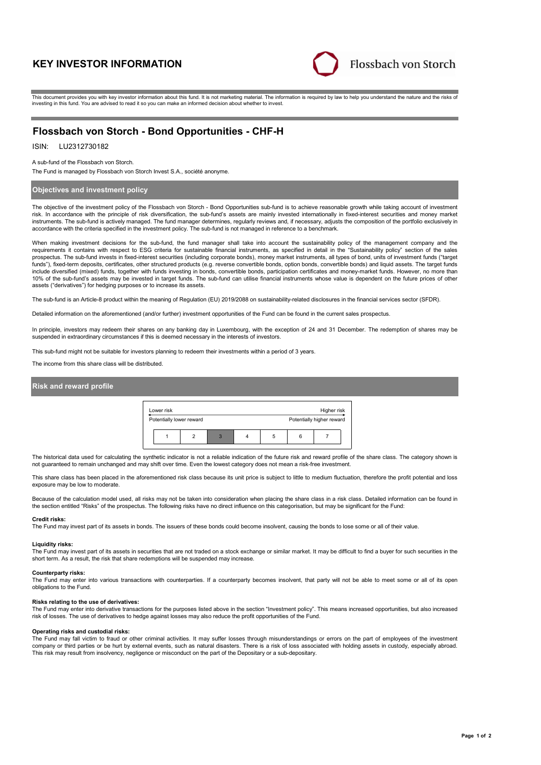# **KEY INVESTOR INFORMATION**



This document provides you with key investor information about this fund. It is not marketing material. The information is required by law to help you understand the nature and the risks of investing in this fund. You are advised to read it so you can make an informed decision about whether to invest.

# **Flossbach von Storch - Bond Opportunities - CHF-H**

## ISIN: LU2312730182

A sub-fund of the Flossbach von Storch.

The Fund is managed by Flossbach von Storch Invest S.A., société anonyme.

### **Objectives and investment policy**

The objective of the investment policy of the Flossbach von Storch - Bond Opportunities sub-fund is to achieve reasonable growth while taking account of investment risk. In accordance with the principle of risk diversification, the sub-fund's assets are mainly invested internationally in fixed-interest securities and money market instruments. The sub-fund is actively managed. The fund manager determines, regularly reviews and, if necessary, adjusts the composition of the portfolio exclusively in accordance with the criteria specified in the investment policy. The sub-fund is not managed in reference to a benchmark.

When making investment decisions for the sub-fund, the fund manager shall take into account the sustainability policy of the management company and the requirements it contains with respect to ESG criteria for sustainable financial instruments, as specified in detail in the "Sustainability policy" section of the sales prospectus. The sub-fund invests in fixed-interest securities (including corporate bonds), money market instruments, all types of bond, units of investment funds ("target funds"), fixed-term deposits, certificates, other structured products (e.g. reverse convertible bonds, option bonds, convertible bonds) and liquid assets. The target funds<br>include diversified (mixed) funds, together with f 10% of the sub-fund's assets may be invested in target funds. The sub-fund can utilise financial instruments whose value is dependent on the future prices of other assets ("derivatives") for hedging purposes or to increase its assets.

The sub-fund is an Article-8 product within the meaning of Regulation (EU) 2019/2088 on sustainability-related disclosures in the financial services sector (SFDR).

Detailed information on the aforementioned (and/or further) investment opportunities of the Fund can be found in the current sales prospectus.

In principle, investors may redeem their shares on any banking day in Luxembourg, with the exception of 24 and 31 December. The redemption of shares may be suspended in extraordinary circumstances if this is deemed necessary in the interests of investors.

This sub-fund might not be suitable for investors planning to redeem their investments within a period of 3 years.

The income from this share class will be distributed.

### **Risk and reward profile**



The historical data used for calculating the synthetic indicator is not a reliable indication of the future risk and reward profile of the share class. The category shown is not guaranteed to remain unchanged and may shift over time. Even the lowest category does not mean a risk-free investment.

This share class has been placed in the aforementioned risk class because its unit price is subject to little to medium fluctuation, therefore the profit potential and loss exposure may be low to moderate.

Because of the calculation model used, all risks may not be taken into consideration when placing the share class in a risk class. Detailed information can be found in the section entitled "Risks" of the prospectus. The following risks have no direct influence on this categorisation, but may be significant for the Fund:

#### **Credit risks:**

The Fund may invest part of its assets in bonds. The issuers of these bonds could become insolvent, causing the bonds to lose some or all of their value.

#### **Liquidity risks:**

The Fund may invest part of its assets in securities that are not traded on a stock exchange or similar market. It may be difficult to find a buyer for such securities in the short term. As a result, the risk that share redemptions will be suspended may increase.

#### **Counterparty risks:**

The Fund may enter into various transactions with counterparties. If a counterparty becomes insolvent, that party will not be able to meet some or all of its open obligations to the Fund.

### **Risks relating to the use of derivatives:**

The Fund may enter into derivative transactions for the purposes listed above in the section "Investment policy". This means increased opportunities, but also increased risk of losses. The use of derivatives to hedge against losses may also reduce the profit opportunities of the Fund.

#### **Operating risks and custodial risks:**

The Fund may fall victim to fraud or other criminal activities. It may suffer losses through misunderstandings or errors on the part of employees of the investment company or third parties or be hurt by external events, such as natural disasters. There is a risk of loss associated with holding assets in custody, especially abroad. This risk may result from insolvency, negligence or misconduct on the part of the Depositary or a sub-depositary.